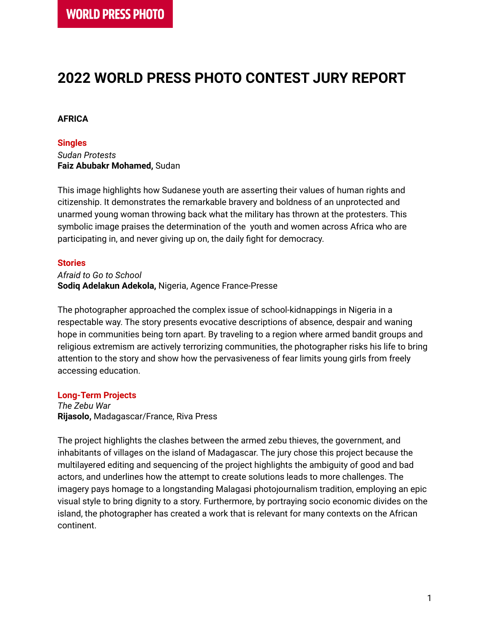# **2022 WORLD PRESS PHOTO CONTEST JURY REPORT**

# **AFRICA**

#### **Singles**

*Sudan Protests* **Faiz Abubakr Mohamed,** Sudan

This image highlights how Sudanese youth are asserting their values of human rights and citizenship. It demonstrates the remarkable bravery and boldness of an unprotected and unarmed young woman throwing back what the military has thrown at the protesters. This symbolic image praises the determination of the youth and women across Africa who are participating in, and never giving up on, the daily fight for democracy.

## **Stories**

*Afraid to Go to School* **Sodiq Adelakun Adekola,** Nigeria, Agence France-Presse

The photographer approached the complex issue of school-kidnappings in Nigeria in a respectable way. The story presents evocative descriptions of absence, despair and waning hope in communities being torn apart. By traveling to a region where armed bandit groups and religious extremism are actively terrorizing communities, the photographer risks his life to bring attention to the story and show how the pervasiveness of fear limits young girls from freely accessing education.

## **Long-Term Projects**

*The Zebu War* **Rijasolo,** Madagascar/France, Riva Press

The project highlights the clashes between the armed zebu thieves, the government, and inhabitants of villages on the island of Madagascar. The jury chose this project because the multilayered editing and sequencing of the project highlights the ambiguity of good and bad actors, and underlines how the attempt to create solutions leads to more challenges. The imagery pays homage to a longstanding Malagasi photojournalism tradition, employing an epic visual style to bring dignity to a story. Furthermore, by portraying socio economic divides on the island, the photographer has created a work that is relevant for many contexts on the African continent.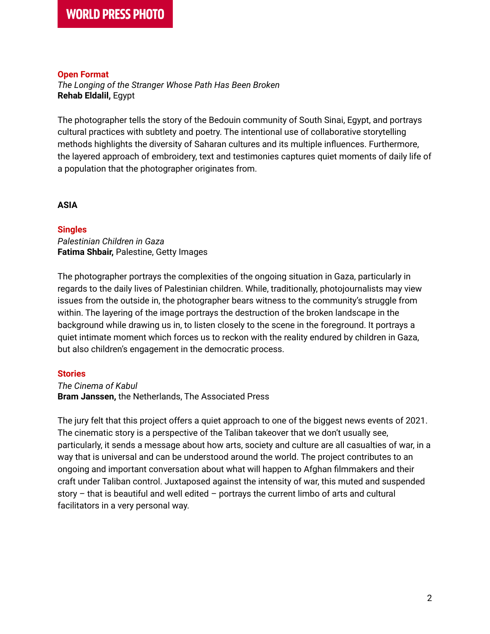## **Open Format**

*The Longing of the Stranger Whose Path Has Been Broken* **Rehab Eldalil,** Egypt

The photographer tells the story of the Bedouin community of South Sinai, Egypt, and portrays cultural practices with subtlety and poetry. The intentional use of collaborative storytelling methods highlights the diversity of Saharan cultures and its multiple influences. Furthermore, the layered approach of embroidery, text and testimonies captures quiet moments of daily life of a population that the photographer originates from.

#### **ASIA**

#### **Singles**

*Palestinian Children in Gaza* **Fatima Shbair,** Palestine, Getty Images

The photographer portrays the complexities of the ongoing situation in Gaza, particularly in regards to the daily lives of Palestinian children. While, traditionally, photojournalists may view issues from the outside in, the photographer bears witness to the community's struggle from within. The layering of the image portrays the destruction of the broken landscape in the background while drawing us in, to listen closely to the scene in the foreground. It portrays a quiet intimate moment which forces us to reckon with the reality endured by children in Gaza, but also children's engagement in the democratic process.

## **Stories**

#### *The Cinema of Kabul* **Bram Janssen,** the Netherlands, The Associated Press

The jury felt that this project offers a quiet approach to one of the biggest news events of 2021. The cinematic story is a perspective of the Taliban takeover that we don't usually see, particularly, it sends a message about how arts, society and culture are all casualties of war, in a way that is universal and can be understood around the world. The project contributes to an ongoing and important conversation about what will happen to Afghan filmmakers and their craft under Taliban control. Juxtaposed against the intensity of war, this muted and suspended story – that is beautiful and well edited – portrays the current limbo of arts and cultural facilitators in a very personal way.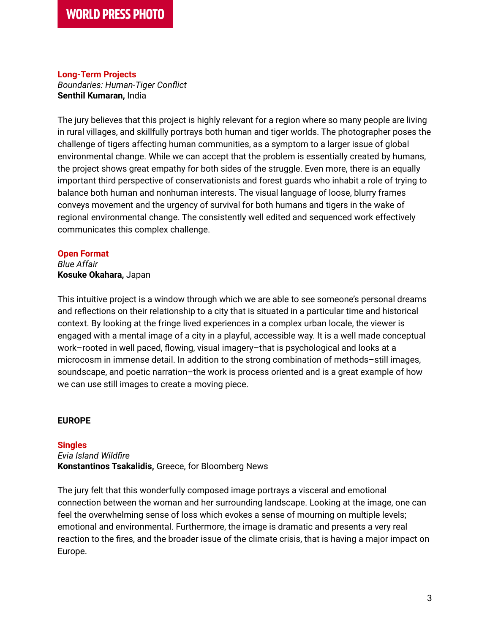## **Long-Term Projects**

*Boundaries: Human-Tiger Conflict* **Senthil Kumaran,** India

The jury believes that this project is highly relevant for a region where so many people are living in rural villages, and skillfully portrays both human and tiger worlds. The photographer poses the challenge of tigers affecting human communities, as a symptom to a larger issue of global environmental change. While we can accept that the problem is essentially created by humans, the project shows great empathy for both sides of the struggle. Even more, there is an equally important third perspective of conservationists and forest guards who inhabit a role of trying to balance both human and nonhuman interests. The visual language of loose, blurry frames conveys movement and the urgency of survival for both humans and tigers in the wake of regional environmental change. The consistently well edited and sequenced work effectively communicates this complex challenge.

#### **Open Format**

*Blue Affair* **Kosuke Okahara,** Japan

This intuitive project is a window through which we are able to see someone's personal dreams and reflections on their relationship to a city that is situated in a particular time and historical context. By looking at the fringe lived experiences in a complex urban locale, the viewer is engaged with a mental image of a city in a playful, accessible way. It is a well made conceptual work–rooted in well paced, flowing, visual imagery–that is psychological and looks at a microcosm in immense detail. In addition to the strong combination of methods–still images, soundscape, and poetic narration–the work is process oriented and is a great example of how we can use still images to create a moving piece.

## **EUROPE**

## **Singles**

*Evia Island Wildfire* **Konstantinos Tsakalidis,** Greece, for Bloomberg News

The jury felt that this wonderfully composed image portrays a visceral and emotional connection between the woman and her surrounding landscape. Looking at the image, one can feel the overwhelming sense of loss which evokes a sense of mourning on multiple levels; emotional and environmental. Furthermore, the image is dramatic and presents a very real reaction to the fires, and the broader issue of the climate crisis, that is having a major impact on Europe.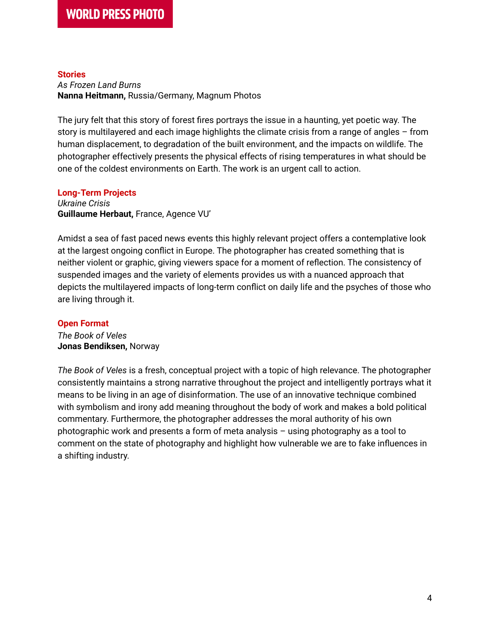#### **Stories**

*As Frozen Land Burns* **Nanna Heitmann,** Russia/Germany, Magnum Photos

The jury felt that this story of forest fires portrays the issue in a haunting, yet poetic way. The story is multilayered and each image highlights the climate crisis from a range of angles – from human displacement, to degradation of the built environment, and the impacts on wildlife. The photographer effectively presents the physical effects of rising temperatures in what should be one of the coldest environments on Earth. The work is an urgent call to action.

#### **Long-Term Projects** *Ukraine Crisis* **Guillaume Herbaut,** France, Agence VU'

Amidst a sea of fast paced news events this highly relevant project offers a contemplative look at the largest ongoing conflict in Europe. The photographer has created something that is neither violent or graphic, giving viewers space for a moment of reflection. The consistency of suspended images and the variety of elements provides us with a nuanced approach that depicts the multilayered impacts of long-term conflict on daily life and the psyches of those who are living through it.

# **Open Format**

*The Book of Veles* **Jonas Bendiksen,** Norway

*The Book of Veles* is a fresh, conceptual project with a topic of high relevance. The photographer consistently maintains a strong narrative throughout the project and intelligently portrays what it means to be living in an age of disinformation. The use of an innovative technique combined with symbolism and irony add meaning throughout the body of work and makes a bold political commentary. Furthermore, the photographer addresses the moral authority of his own photographic work and presents a form of meta analysis – using photography as a tool to comment on the state of photography and highlight how vulnerable we are to fake influences in a shifting industry.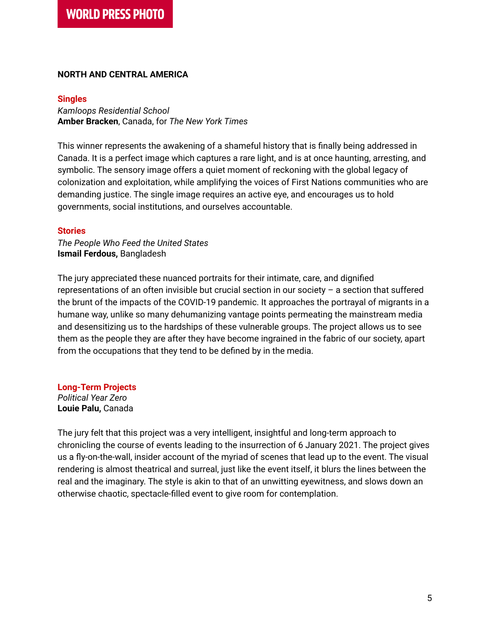#### **NORTH AND CENTRAL AMERICA**

#### **Singles**

*Kamloops Residential School* **Amber Bracken**, Canada, for *The New York Times*

This winner represents the awakening of a shameful history that is finally being addressed in Canada. It is a perfect image which captures a rare light, and is at once haunting, arresting, and symbolic. The sensory image offers a quiet moment of reckoning with the global legacy of colonization and exploitation, while amplifying the voices of First Nations communities who are demanding justice. The single image requires an active eye, and encourages us to hold governments, social institutions, and ourselves accountable.

#### **Stories**

*The People Who Feed the United States* **Ismail Ferdous,** Bangladesh

The jury appreciated these nuanced portraits for their intimate, care, and dignified representations of an often invisible but crucial section in our society – a section that suffered the brunt of the impacts of the COVID-19 pandemic. It approaches the portrayal of migrants in a humane way, unlike so many dehumanizing vantage points permeating the mainstream media and desensitizing us to the hardships of these vulnerable groups. The project allows us to see them as the people they are after they have become ingrained in the fabric of our society, apart from the occupations that they tend to be defined by in the media.

**Long-Term Projects** *Political Year Zero* **Louie Palu,** Canada

The jury felt that this project was a very intelligent, insightful and long-term approach to chronicling the course of events leading to the insurrection of 6 January 2021. The project gives us a fly-on-the-wall, insider account of the myriad of scenes that lead up to the event. The visual rendering is almost theatrical and surreal, just like the event itself, it blurs the lines between the real and the imaginary. The style is akin to that of an unwitting eyewitness, and slows down an otherwise chaotic, spectacle-filled event to give room for contemplation.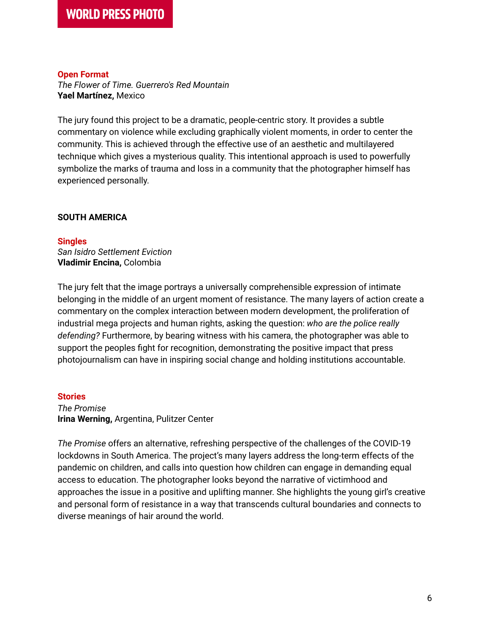## **Open Format**

*The Flower of Time. Guerrero's Red Mountain* **Yael Martínez,** Mexico

The jury found this project to be a dramatic, people-centric story. It provides a subtle commentary on violence while excluding graphically violent moments, in order to center the community. This is achieved through the effective use of an aesthetic and multilayered technique which gives a mysterious quality. This intentional approach is used to powerfully symbolize the marks of trauma and loss in a community that the photographer himself has experienced personally.

## **SOUTH AMERICA**

#### **Singles**

*San Isidro Settlement Eviction* **Vladimir Encina,** Colombia

The jury felt that the image portrays a universally comprehensible expression of intimate belonging in the middle of an urgent moment of resistance. The many layers of action create a commentary on the complex interaction between modern development, the proliferation of industrial mega projects and human rights, asking the question: *who are the police really defending?* Furthermore, by bearing witness with his camera, the photographer was able to support the peoples fight for recognition, demonstrating the positive impact that press photojournalism can have in inspiring social change and holding institutions accountable.

## **Stories**

*The Promise* **Irina Werning,** Argentina, Pulitzer Center

*The Promise* offers an alternative, refreshing perspective of the challenges of the COVID-19 lockdowns in South America. The project's many layers address the long-term effects of the pandemic on children, and calls into question how children can engage in demanding equal access to education. The photographer looks beyond the narrative of victimhood and approaches the issue in a positive and uplifting manner. She highlights the young girl's creative and personal form of resistance in a way that transcends cultural boundaries and connects to diverse meanings of hair around the world.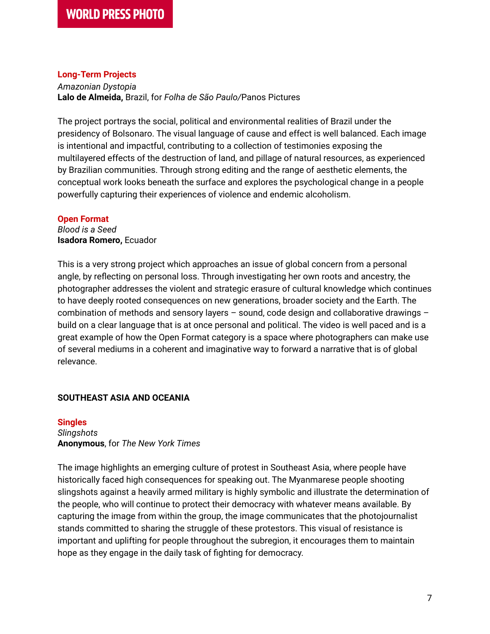## **Long-Term Projects**

*Amazonian Dystopia* **Lalo de Almeida,** Brazil, for *Folha de São Paulo/*Panos Pictures

The project portrays the social, political and environmental realities of Brazil under the presidency of Bolsonaro. The visual language of cause and effect is well balanced. Each image is intentional and impactful, contributing to a collection of testimonies exposing the multilayered effects of the destruction of land, and pillage of natural resources, as experienced by Brazilian communities. Through strong editing and the range of aesthetic elements, the conceptual work looks beneath the surface and explores the psychological change in a people powerfully capturing their experiences of violence and endemic alcoholism.

#### **Open Format**

*Blood is a Seed* **Isadora Romero,** Ecuador

This is a very strong project which approaches an issue of global concern from a personal angle, by reflecting on personal loss. Through investigating her own roots and ancestry, the photographer addresses the violent and strategic erasure of cultural knowledge which continues to have deeply rooted consequences on new generations, broader society and the Earth. The combination of methods and sensory layers – sound, code design and collaborative drawings – build on a clear language that is at once personal and political. The video is well paced and is a great example of how the Open Format category is a space where photographers can make use of several mediums in a coherent and imaginative way to forward a narrative that is of global relevance.

## **SOUTHEAST ASIA AND OCEANIA**

## **Singles** *Slingshots* **Anonymous**, for *The New York Times*

The image highlights an emerging culture of protest in Southeast Asia, where people have historically faced high consequences for speaking out. The Myanmarese people shooting slingshots against a heavily armed military is highly symbolic and illustrate the determination of the people, who will continue to protect their democracy with whatever means available. By capturing the image from within the group, the image communicates that the photojournalist stands committed to sharing the struggle of these protestors. This visual of resistance is important and uplifting for people throughout the subregion, it encourages them to maintain hope as they engage in the daily task of fighting for democracy.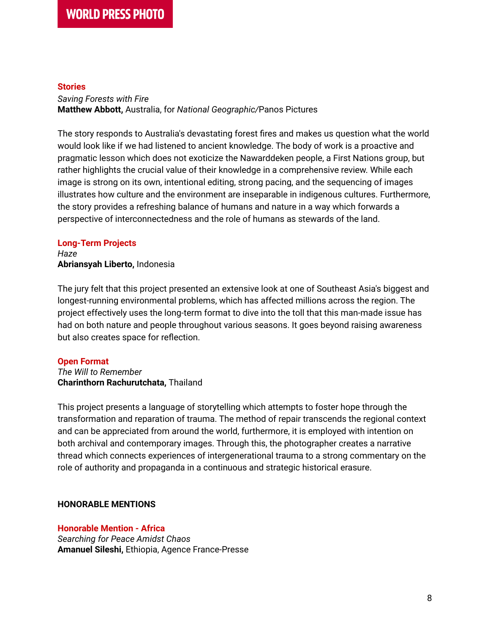#### **Stories**

*Saving Forests with Fire* **Matthew Abbott,** Australia, for *National Geographic/*Panos Pictures

The story responds to Australia's devastating forest fires and makes us question what the world would look like if we had listened to ancient knowledge. The body of work is a proactive and pragmatic lesson which does not exoticize the Nawarddeken people, a First Nations group, but rather highlights the crucial value of their knowledge in a comprehensive review. While each image is strong on its own, intentional editing, strong pacing, and the sequencing of images illustrates how culture and the environment are inseparable in indigenous cultures. Furthermore, the story provides a refreshing balance of humans and nature in a way which forwards a perspective of interconnectedness and the role of humans as stewards of the land.

#### **Long-Term Projects**

*Haze* **Abriansyah Liberto,** Indonesia

The jury felt that this project presented an extensive look at one of Southeast Asia's biggest and longest-running environmental problems, which has affected millions across the region. The project effectively uses the long-term format to dive into the toll that this man-made issue has had on both nature and people throughout various seasons. It goes beyond raising awareness but also creates space for reflection.

## **Open Format**

*The Will to Remember* **Charinthorn Rachurutchata,** Thailand

This project presents a language of storytelling which attempts to foster hope through the transformation and reparation of trauma. The method of repair transcends the regional context and can be appreciated from around the world, furthermore, it is employed with intention on both archival and contemporary images. Through this, the photographer creates a narrative thread which connects experiences of intergenerational trauma to a strong commentary on the role of authority and propaganda in a continuous and strategic historical erasure.

## **HONORABLE MENTIONS**

## **Honorable Mention - Africa**

*Searching for Peace Amidst Chaos* **Amanuel Sileshi,** Ethiopia, Agence France-Presse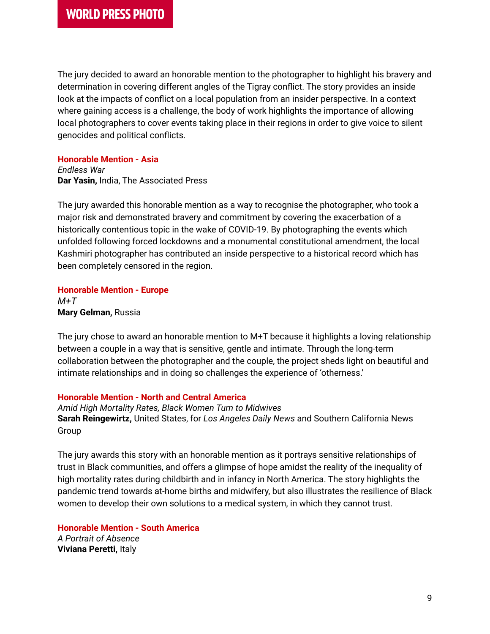The jury decided to award an honorable mention to the photographer to highlight his bravery and determination in covering different angles of the Tigray conflict. The story provides an inside look at the impacts of conflict on a local population from an insider perspective. In a context where gaining access is a challenge, the body of work highlights the importance of allowing local photographers to cover events taking place in their regions in order to give voice to silent genocides and political conflicts.

#### **Honorable Mention - Asia**

*Endless War* **Dar Yasin,** India, The Associated Press

The jury awarded this honorable mention as a way to recognise the photographer, who took a major risk and demonstrated bravery and commitment by covering the exacerbation of a historically contentious topic in the wake of COVID-19. By photographing the events which unfolded following forced lockdowns and a monumental constitutional amendment, the local Kashmiri photographer has contributed an inside perspective to a historical record which has been completely censored in the region.

# **Honorable Mention - Europe**

*M+T* **Mary Gelman,** Russia

The jury chose to award an honorable mention to M+T because it highlights a loving relationship between a couple in a way that is sensitive, gentle and intimate. Through the long-term collaboration between the photographer and the couple, the project sheds light on beautiful and intimate relationships and in doing so challenges the experience of 'otherness.'

## **Honorable Mention - North and Central America**

*Amid High Mortality Rates, Black Women Turn to Midwives* **Sarah Reingewirtz,** United States, for *Los Angeles Daily News* and Southern California News Group

The jury awards this story with an honorable mention as it portrays sensitive relationships of trust in Black communities, and offers a glimpse of hope amidst the reality of the inequality of high mortality rates during childbirth and in infancy in North America. The story highlights the pandemic trend towards at-home births and midwifery, but also illustrates the resilience of Black women to develop their own solutions to a medical system, in which they cannot trust.

**Honorable Mention - South America** *A Portrait of Absence* **Viviana Peretti,** Italy